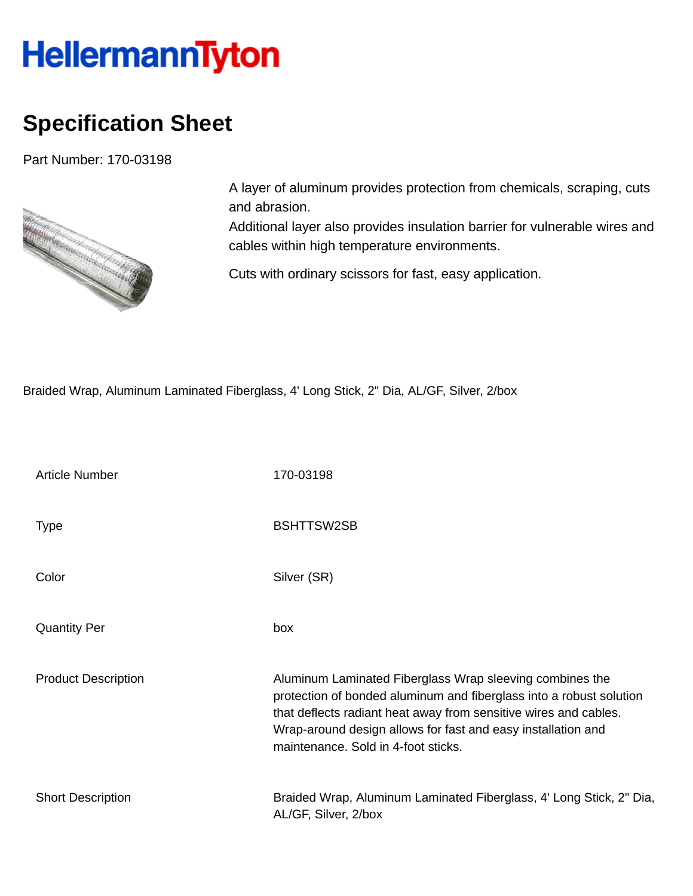## **HellermannTyton**

## **Specification Sheet**

Part Number: 170-03198



A layer of aluminum provides protection from chemicals, scraping, cuts and abrasion.

Additional layer also provides insulation barrier for vulnerable wires and cables within high temperature environments.

Cuts with ordinary scissors for fast, easy application.

Braided Wrap, Aluminum Laminated Fiberglass, 4' Long Stick, 2" Dia, AL/GF, Silver, 2/box

| <b>Article Number</b>      | 170-03198                                                                                                                                                                                                                                                                                                  |
|----------------------------|------------------------------------------------------------------------------------------------------------------------------------------------------------------------------------------------------------------------------------------------------------------------------------------------------------|
| <b>Type</b>                | <b>BSHTTSW2SB</b>                                                                                                                                                                                                                                                                                          |
| Color                      | Silver (SR)                                                                                                                                                                                                                                                                                                |
| <b>Quantity Per</b>        | box                                                                                                                                                                                                                                                                                                        |
| <b>Product Description</b> | Aluminum Laminated Fiberglass Wrap sleeving combines the<br>protection of bonded aluminum and fiberglass into a robust solution<br>that deflects radiant heat away from sensitive wires and cables.<br>Wrap-around design allows for fast and easy installation and<br>maintenance. Sold in 4-foot sticks. |
| <b>Short Description</b>   | Braided Wrap, Aluminum Laminated Fiberglass, 4' Long Stick, 2" Dia,<br>AL/GF, Silver, 2/box                                                                                                                                                                                                                |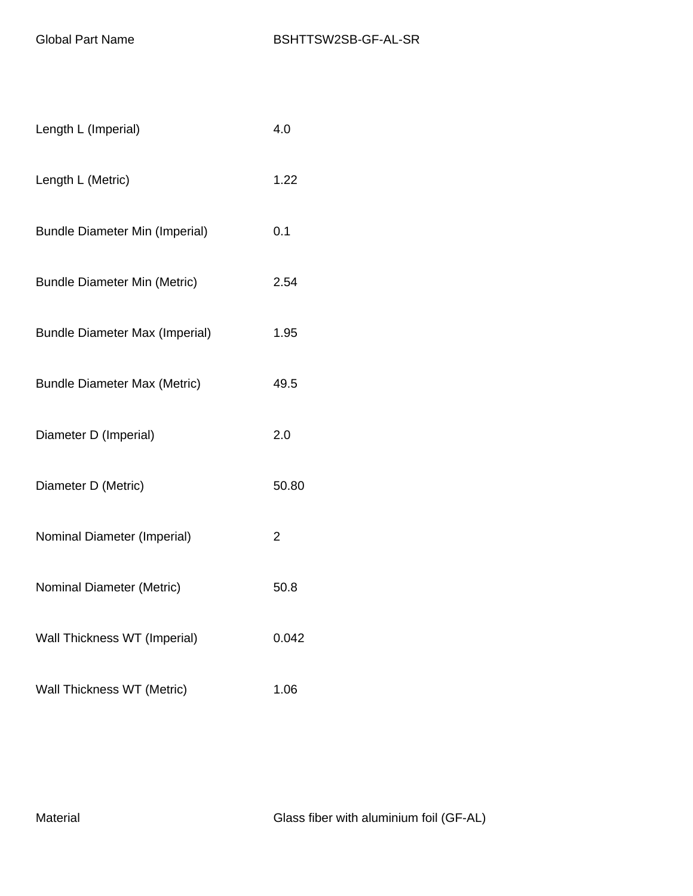| Length L (Imperial)                   | 4.0   |
|---------------------------------------|-------|
| Length L (Metric)                     | 1.22  |
| <b>Bundle Diameter Min (Imperial)</b> | 0.1   |
| <b>Bundle Diameter Min (Metric)</b>   | 2.54  |
| <b>Bundle Diameter Max (Imperial)</b> | 1.95  |
| <b>Bundle Diameter Max (Metric)</b>   | 49.5  |
| Diameter D (Imperial)                 | 2.0   |
| Diameter D (Metric)                   | 50.80 |
|                                       |       |
| Nominal Diameter (Imperial)           | 2     |
| Nominal Diameter (Metric)             | 50.8  |
| Wall Thickness WT (Imperial)          | 0.042 |